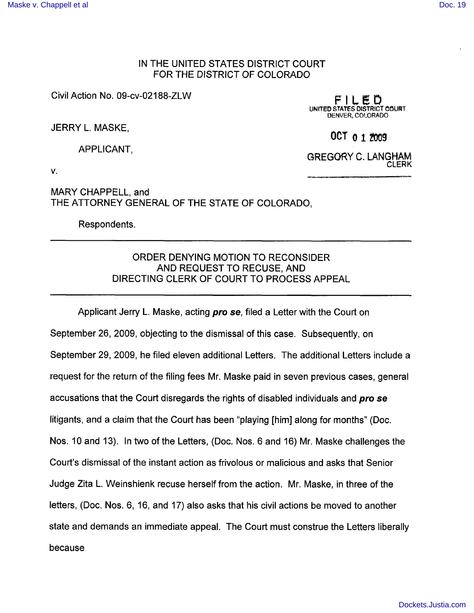## IN THE UNITED STATES DISTRICT COURT FOR THE DISTRICT OF COLORADO

Civil Action No. 09-cv-02188-ZLW

FILED UNITED STATES DISTRICT COURT DENVER, COLORADO

JERRY L. MASKE,

APPLICANT.

GREGORY C. LANGHAM **CLERK** 

 $00T_012009$ 

V.

MARY CHAPPELL, and THE ATTORNEY GENERAL OF THE STATE OF COLORADO,

Respondents.

## ORDER DENYING MOTION TO RECONSIDER AND REQUEST TO RECUSE, AND DIRECTING CLERK OF COURT TO PROCESS APPEAL

Applicant Jerry L. Maske, acting pro se, filed a Letter with the Court on September 26, 2009, objecting to the dismissal of this case. Subsequently, on September 29, 2009, he filed eleven additional Letters. The additional Letters include a request for the return of the filing fees Mr. Maske paid in seven previous cases, general accusations that the Court disregards the rights of disabled individuals and pro se litigants, and a claim that the Court has been "playing [him] along for months" (Doc. Nos. 10 and 13). In two of the Letters, (Doc. Nos. 6 and 16) Mr. Maske challenges the Court's dismissal of the instant action as frivolous or malicious and asks that Senior Judge Zita L. Weinshienk recuse herself from the action. Mr. Maske, in three of the letters, (Doc. Nos. 6, 16, and 17) also asks that his civil actions be moved to another state and demands an immediate appeal. The Court must construe the Letters liberally because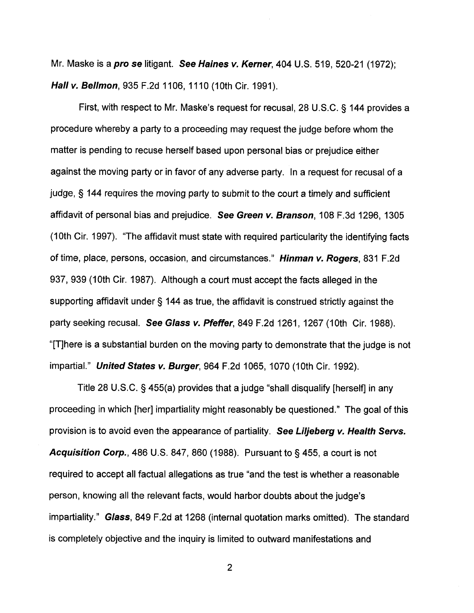Mr. Maske is a *pro se* litigant. See Haines v. Kerner, 404 U.S. 519, 520-21 (1972); Hall v. Bellmon, 935 F.2d 1106, 1110 (10th Cir. 1991).

First, with respect to Mr. Maske's request for recusal, 28 U.S.C. § 144 provides a procedure whereby a party to a proceeding may request the judge before whom the matter is pending to recuse herself based upon personal bias or prejudice either against the moving party or in favor of any adverse party. In a request for recusal of a judge, § 144 requires the moving party to submit to the court a timely and sufficient affidavit of personal bias and prejudice. See Green v. Branson, 108 F.3d 1296, 1305 (10th Cir. 1997). "The affidavit must state with required particularity the identifying facts of time, place, persons, occasion, and circumstances." Hinman v. Rogers, 831 F.2d 937, 939 (10th Cir. 1987). Although a court must accept the facts alleged in the supporting affidavit under § 144 as true, the affidavit is construed strictly against the party seeking recusal. See Glass v. Pfeffer, 849 F.2d 1261, 1267 (10th Cir. 1988). "[T]here is a substantial burden on the moving party to demonstrate that the judge is not impartial." United States v. Burger, 964 F.2d 1065, 1070 (10th Cir. 1992).

Title 28 U.S.C. § 455(a) provides that a judge "shall disqualify [herself] in any proceeding in which [her] impartiality might reasonably be questioned." The goal of this provision is to avoid even the appearance of partiality. See Liljeberg v. Health Servs. **Acquisition Corp.**, 486 U.S. 847, 860 (1988). Pursuant to  $\S$  455, a court is not required to accept all factual allegations as true "and the test is whether a reasonable person, knowing all the relevant facts, would harbor doubts about the judge's impartiality." Glass, 849 F.2d at 1268 (internal quotation marks omitted). The standard is completely objective and the inquiry is limited to outward manifestations and

 $\overline{2}$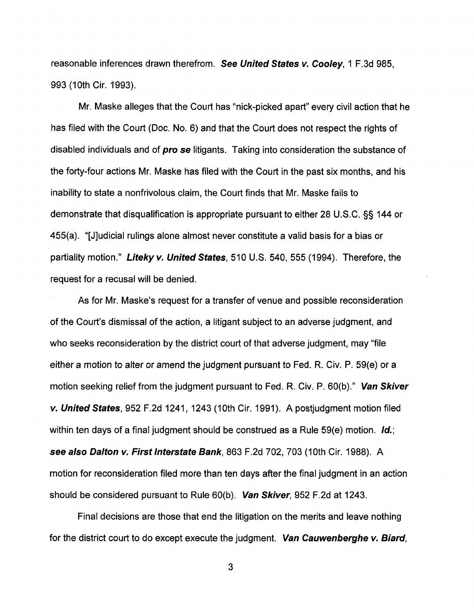reasonable inferences drawn therefrom. See United States v. Cooley, 1 F.3d 985, 993 (10th Cir. 1993).

Mr. Maske alleges that the Court has "nick-picked apart" every civil action that he has filed with the Court (Doc. No. 6) and that the Court does not respect the rights of disabled individuals and of **pro se** litigants. Taking into consideration the substance of the forty-four actions Mr. Maske has filed with the Court in the past six months, and his inability to state a nonfrivolous claim, the Court finds that Mr. Maske fails to demonstrate that disqualification is appropriate pursuant to either 28 U.S.C. §§ 144 or 455(a). "[J]udicial rulings alone almost never constitute a valid basis for a bias or partiality motion." Liteky v. United States, 510 U.S. 540, 555 (1994). Therefore, the request for a recusal will be denied.

As for Mr. Maske's request for a transfer of venue and possible reconsideration of the Court's dismissal of the action, a litigant subject to an adverse judgment, and who seeks reconsideration by the district court of that adverse judgment, may "file" either a motion to alter or amend the judgment pursuant to Fed. R. Civ. P. 59(e) or a motion seeking relief from the judgment pursuant to Fed. R. Civ. P. 60(b)." Van Skiver v. United States, 952 F.2d 1241, 1243 (10th Cir. 1991). A postjudgment motion filed within ten days of a final judgment should be construed as a Rule 59(e) motion. Id.; see also Dalton v. First Interstate Bank, 863 F.2d 702, 703 (10th Cir. 1988). A motion for reconsideration filed more than ten days after the final judgment in an action should be considered pursuant to Rule 60(b). Van Skiver, 952 F.2d at 1243.

Final decisions are those that end the litigation on the merits and leave nothing for the district court to do except execute the judgment. Van Cauwenberghe v. Biard,

3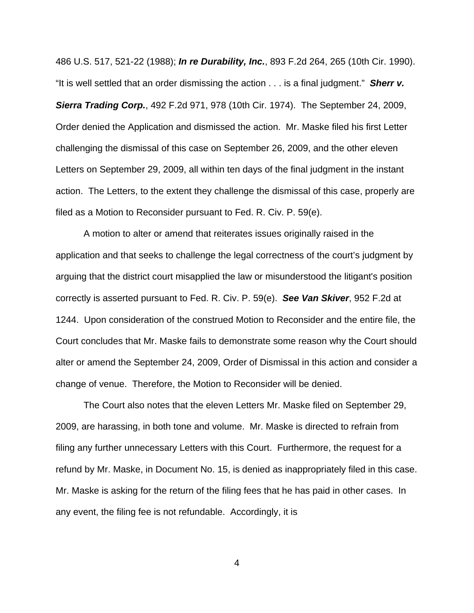486 U.S. 517, 521-22 (1988); **In re Durability, Inc.**, 893 F.2d 264, 265 (10th Cir. 1990). "It is well settled that an order dismissing the action . . . is a final judgment." **Sherr v. Sierra Trading Corp.**, 492 F.2d 971, 978 (10th Cir. 1974). The September 24, 2009, Order denied the Application and dismissed the action. Mr. Maske filed his first Letter challenging the dismissal of this case on September 26, 2009, and the other eleven Letters on September 29, 2009, all within ten days of the final judgment in the instant action. The Letters, to the extent they challenge the dismissal of this case, properly are filed as a Motion to Reconsider pursuant to Fed. R. Civ. P. 59(e).

A motion to alter or amend that reiterates issues originally raised in the application and that seeks to challenge the legal correctness of the court's judgment by arguing that the district court misapplied the law or misunderstood the litigant's position correctly is asserted pursuant to Fed. R. Civ. P. 59(e). **See Van Skiver**, 952 F.2d at 1244. Upon consideration of the construed Motion to Reconsider and the entire file, the Court concludes that Mr. Maske fails to demonstrate some reason why the Court should alter or amend the September 24, 2009, Order of Dismissal in this action and consider a change of venue. Therefore, the Motion to Reconsider will be denied.

The Court also notes that the eleven Letters Mr. Maske filed on September 29, 2009, are harassing, in both tone and volume. Mr. Maske is directed to refrain from filing any further unnecessary Letters with this Court. Furthermore, the request for a refund by Mr. Maske, in Document No. 15, is denied as inappropriately filed in this case. Mr. Maske is asking for the return of the filing fees that he has paid in other cases. In any event, the filing fee is not refundable. Accordingly, it is

4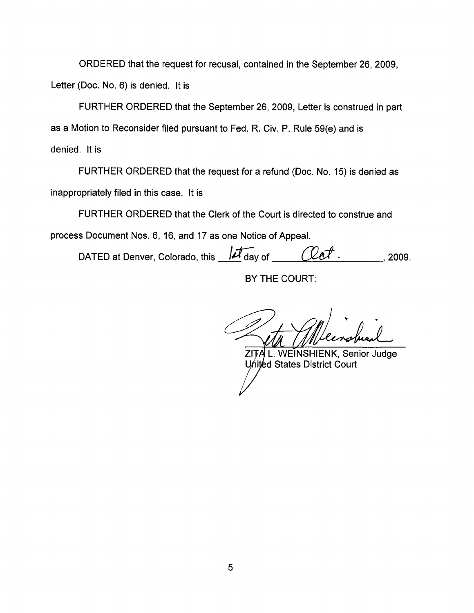ORDERED that the request for recusal, contained in the September 26, 2009, Letter (Doc. No. 6) is denied. It is

FURTHER ORDERED that the September 26, 2009, Letter is construed in part as a Motion to Reconsider filed pursuant to Fed. R. Civ. P. Rule 59(e) and is denied. It is

FURTHER ORDERED that the request for a refund (Doc. No. 15) is denied as inappropriately filed in this case. It is

FURTHER ORDERED that the Clerk of the Court is directed to construe and process Document Nos. 6, 16, and 17 as one Notice of Appeal.

DATED at Denver, Colorado, this  $\overline{\mathcal{M}}$  day of  $\overline{\mathcal{L}}$   $\overline{\mathcal{L}}$   $\overline{\mathcal{L}}$  . 2009.

BY THE COURT:

ZITA L. WEINSHIENK, Senior Judge United States District Court